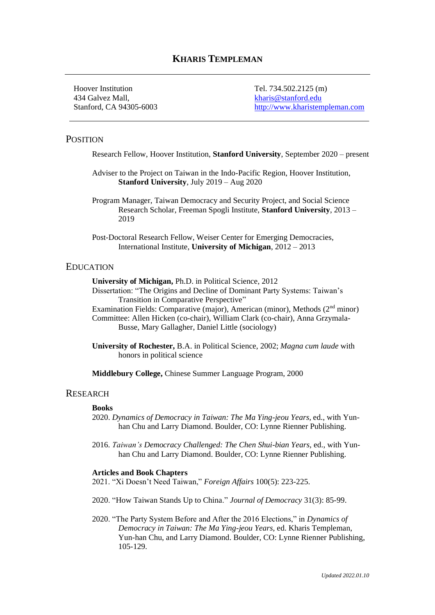# **KHARIS TEMPLEMAN**

Hoover Institution Tel. 734.502.2125 (m) 434 Galvez Mall, [kharis@stanford.edu](mailto:kharis@stanford.edu)

Stanford, CA 94305-6003 [http://www.kharistempleman.com](http://www.kharistempleman.com/)

## **POSITION**

Research Fellow, Hoover Institution, **Stanford University**, September 2020 – present

Adviser to the Project on Taiwan in the Indo-Pacific Region, Hoover Institution, **Stanford University**, July 2019 – Aug 2020

Program Manager, Taiwan Democracy and Security Project, and Social Science Research Scholar, Freeman Spogli Institute, **Stanford University**, 2013 – 2019

Post-Doctoral Research Fellow, Weiser Center for Emerging Democracies, International Institute, **University of Michigan**, 2012 – 2013

#### EDUCATION

**University of Michigan,** Ph.D. in Political Science, 2012

- Dissertation: "The Origins and Decline of Dominant Party Systems: Taiwan's Transition in Comparative Perspective"
- Examination Fields: Comparative (major), American (minor), Methods  $(2<sup>nd</sup>$  minor)

Committee: Allen Hicken (co-chair), William Clark (co-chair), Anna Grzymala-Busse, Mary Gallagher, Daniel Little (sociology)

**University of Rochester,** B.A. in Political Science, 2002; *Magna cum laude* with honors in political science

**Middlebury College,** Chinese Summer Language Program, 2000

#### **RESEARCH**

#### **Books**

- 2020. *Dynamics of Democracy in Taiwan: The Ma Ying-jeou Years,* ed., with Yunhan Chu and Larry Diamond. Boulder, CO: Lynne Rienner Publishing.
- 2016. *Taiwan's Democracy Challenged: The Chen Shui-bian Years*, ed., with Yunhan Chu and Larry Diamond. Boulder, CO: Lynne Rienner Publishing.

#### **Articles and Book Chapters**

2021. "Xi Doesn't Need Taiwan," *Foreign Affairs* 100(5): 223-225.

2020. "How Taiwan Stands Up to China." *Journal of Democracy* 31(3): 85-99.

2020. "The Party System Before and After the 2016 Elections," in *Dynamics of Democracy in Taiwan: The Ma Ying-jeou Years,* ed. Kharis Templeman, Yun-han Chu, and Larry Diamond. Boulder, CO: Lynne Rienner Publishing, 105-129.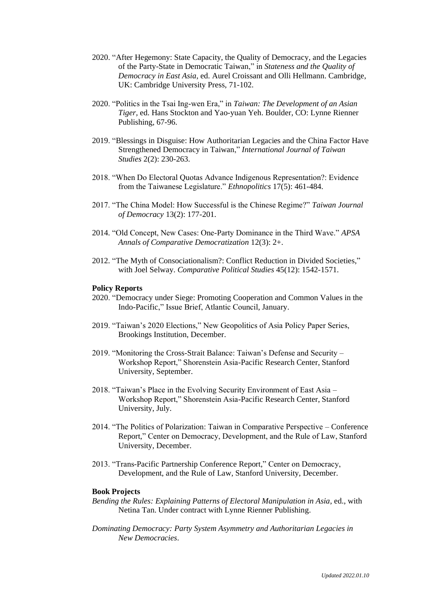- 2020. "After Hegemony: State Capacity, the Quality of Democracy, and the Legacies of the Party-State in Democratic Taiwan," in *Stateness and the Quality of Democracy in East Asia*, ed. Aurel Croissant and Olli Hellmann. Cambridge, UK: Cambridge University Press, 71-102.
- 2020. "Politics in the Tsai Ing-wen Era," in *Taiwan: The Development of an Asian Tiger,* ed. Hans Stockton and Yao-yuan Yeh. Boulder, CO: Lynne Rienner Publishing, 67-96.
- 2019. "Blessings in Disguise: How Authoritarian Legacies and the China Factor Have Strengthened Democracy in Taiwan," *International Journal of Taiwan Studies* 2(2): 230-263.
- 2018. "When Do Electoral Quotas Advance Indigenous Representation?: Evidence from the Taiwanese Legislature." *Ethnopolitics* 17(5): 461-484.
- 2017. "The China Model: How Successful is the Chinese Regime?" *Taiwan Journal of Democracy* 13(2): 177-201.
- 2014. "Old Concept, New Cases: One-Party Dominance in the Third Wave." *APSA Annals of Comparative Democratization* 12(3): 2+.
- 2012. "The Myth of Consociationalism?: Conflict Reduction in Divided Societies," with Joel Selway. *Comparative Political Studies* 45(12): 1542-1571.

#### **Policy Reports**

- 2020. "Democracy under Siege: Promoting Cooperation and Common Values in the Indo-Pacific," Issue Brief, Atlantic Council, January.
- 2019. "Taiwan's 2020 Elections," New Geopolitics of Asia Policy Paper Series, Brookings Institution, December.
- 2019. "Monitoring the Cross-Strait Balance: Taiwan's Defense and Security Workshop Report," Shorenstein Asia-Pacific Research Center, Stanford University, September.
- 2018. "Taiwan's Place in the Evolving Security Environment of East Asia Workshop Report," Shorenstein Asia-Pacific Research Center, Stanford University, July.
- 2014. "The Politics of Polarization: Taiwan in Comparative Perspective Conference Report," Center on Democracy, Development, and the Rule of Law, Stanford University, December.
- 2013. "Trans-Pacific Partnership Conference Report," Center on Democracy, Development, and the Rule of Law, Stanford University, December.

#### **Book Projects**

- *Bending the Rules: Explaining Patterns of Electoral Manipulation in Asia*, ed., with Netina Tan. Under contract with Lynne Rienner Publishing.
- *Dominating Democracy: Party System Asymmetry and Authoritarian Legacies in New Democracies*.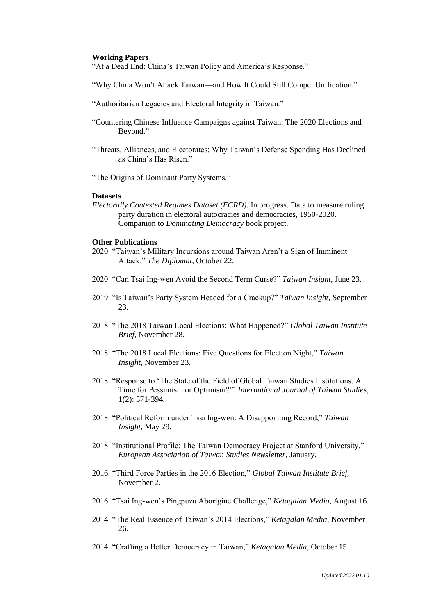#### **Working Papers**

"At a Dead End: China's Taiwan Policy and America's Response."

"Why China Won't Attack Taiwan—and How It Could Still Compel Unification."

- "Authoritarian Legacies and Electoral Integrity in Taiwan."
- "Countering Chinese Influence Campaigns against Taiwan: The 2020 Elections and Beyond."
- "Threats, Alliances, and Electorates: Why Taiwan's Defense Spending Has Declined as China's Has Risen."
- "The Origins of Dominant Party Systems."

#### **Datasets**

*Electorally Contested Regimes Dataset (ECRD).* In progress. Data to measure ruling party duration in electoral autocracies and democracies, 1950-2020. Companion to *Dominating Democracy* book project.

#### **Other Publications**

- 2020. "Taiwan's Military Incursions around Taiwan Aren't a Sign of Imminent Attack," *The Diplomat*, October 22.
- 2020. "Can Tsai Ing-wen Avoid the Second Term Curse?" *Taiwan Insight,* June 23.
- 2019. "Is Taiwan's Party System Headed for a Crackup?" *Taiwan Insight,* September 23.
- 2018. "The 2018 Taiwan Local Elections: What Happened?" *Global Taiwan Institute Brief*, November 28.
- 2018. "The 2018 Local Elections: Five Questions for Election Night," *Taiwan Insight,* November 23.
- 2018. "Response to 'The State of the Field of Global Taiwan Studies Institutions: A Time for Pessimism or Optimism?'" *International Journal of Taiwan Studies,*  1(2): 371-394.
- 2018. "Political Reform under Tsai Ing-wen: A Disappointing Record," *Taiwan Insight,* May 29.
- 2018. "Institutional Profile: The Taiwan Democracy Project at Stanford University," *European Association of Taiwan Studies Newsletter*, January.
- 2016. "Third Force Parties in the 2016 Election," *Global Taiwan Institute Brief,*  November 2.
- 2016. "Tsai Ing-wen's Pingpuzu Aborigine Challenge," *Ketagalan Media*, August 16.
- 2014. "The Real Essence of Taiwan's 2014 Elections," *Ketagalan Media*, November 26.
- 2014. "Crafting a Better Democracy in Taiwan," *Ketagalan Media*, October 15.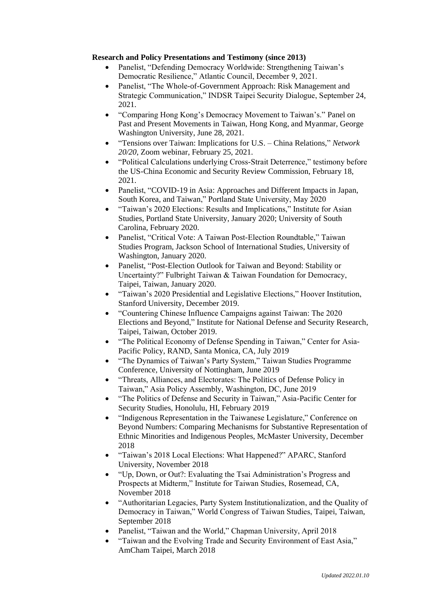## **Research and Policy Presentations and Testimony (since 2013)**

- Panelist, "Defending Democracy Worldwide: Strengthening Taiwan's Democratic Resilience," Atlantic Council, December 9, 2021.
- Panelist, "The Whole-of-Government Approach: Risk Management and Strategic Communication," INDSR Taipei Security Dialogue, September 24, 2021.
- "Comparing Hong Kong's Democracy Movement to Taiwan's." Panel on Past and Present Movements in Taiwan, Hong Kong, and Myanmar, George Washington University, June 28, 2021.
- "Tensions over Taiwan: Implications for U.S. China Relations," *Network 20/20*, Zoom webinar, February 25, 2021.
- "Political Calculations underlying Cross-Strait Deterrence," testimony before the US-China Economic and Security Review Commission, February 18, 2021.
- Panelist, "COVID-19 in Asia: Approaches and Different Impacts in Japan, South Korea, and Taiwan," Portland State University, May 2020
- "Taiwan's 2020 Elections: Results and Implications," Institute for Asian Studies, Portland State University, January 2020; University of South Carolina, February 2020.
- Panelist, "Critical Vote: A Taiwan Post-Election Roundtable," Taiwan Studies Program, Jackson School of International Studies, University of Washington, January 2020.
- Panelist, "Post-Election Outlook for Taiwan and Beyond: Stability or Uncertainty?" Fulbright Taiwan & Taiwan Foundation for Democracy, Taipei, Taiwan, January 2020.
- "Taiwan's 2020 Presidential and Legislative Elections," Hoover Institution, Stanford University, December 2019.
- "Countering Chinese Influence Campaigns against Taiwan: The 2020 Elections and Beyond," [Institute for National Defense and Security Research,](https://indsr.org.tw/) Taipei, Taiwan, October 2019.
- "The Political Economy of Defense Spending in Taiwan," Center for Asia-Pacific Policy, RAND, Santa Monica, CA, July 2019
- "The Dynamics of Taiwan's Party System," Taiwan Studies Programme Conference, University of Nottingham, June 2019
- "Threats, Alliances, and Electorates: The Politics of Defense Policy in Taiwan," Asia Policy Assembly, Washington, DC, June 2019
- "The Politics of Defense and Security in Taiwan," Asia-Pacific Center for Security Studies, Honolulu, HI, February 2019
- "Indigenous Representation in the Taiwanese Legislature," Conference on Beyond Numbers: Comparing Mechanisms for Substantive Representation of Ethnic Minorities and Indigenous Peoples, McMaster University, December 2018
- "Taiwan's 2018 Local Elections: What Happened?" APARC, Stanford University, November 2018
- "Up, Down, or Out?: Evaluating the Tsai Administration's Progress and Prospects at Midterm," Institute for Taiwan Studies, Rosemead, CA, November 2018
- "Authoritarian Legacies, Party System Institutionalization, and the Quality of Democracy in Taiwan," World Congress of Taiwan Studies, Taipei, Taiwan, September 2018
- Panelist, "Taiwan and the World," Chapman University, April 2018
- "Taiwan and the Evolving Trade and Security Environment of East Asia," AmCham Taipei, March 2018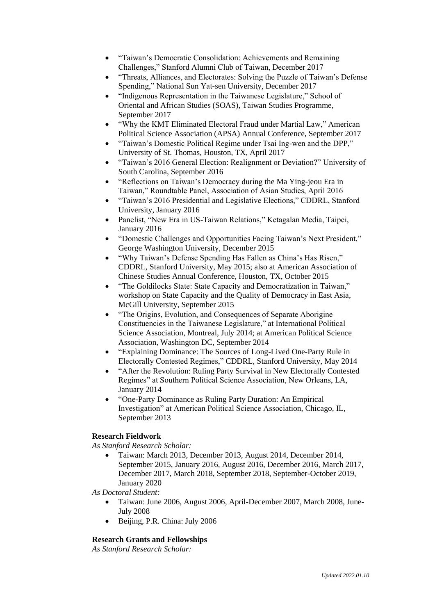- "Taiwan's Democratic Consolidation: Achievements and Remaining Challenges," Stanford Alumni Club of Taiwan, December 2017
- "Threats, Alliances, and Electorates: Solving the Puzzle of Taiwan's Defense Spending," National Sun Yat-sen University, December 2017
- "Indigenous Representation in the Taiwanese Legislature," School of Oriental and African Studies (SOAS), Taiwan Studies Programme, September 2017
- "Why the KMT Eliminated Electoral Fraud under Martial Law," American Political Science Association (APSA) Annual Conference, September 2017
- "Taiwan's Domestic Political Regime under Tsai Ing-wen and the DPP," University of St. Thomas, Houston, TX, April 2017
- "Taiwan's 2016 General Election: Realignment or Deviation?" University of South Carolina, September 2016
- "Reflections on Taiwan's Democracy during the Ma Ying-jeou Era in Taiwan," Roundtable Panel, Association of Asian Studies, April 2016
- "Taiwan's 2016 Presidential and Legislative Elections," CDDRL, Stanford University, January 2016
- Panelist, "New Era in US-Taiwan Relations," Ketagalan Media, Taipei, January 2016
- "Domestic Challenges and Opportunities Facing Taiwan's Next President," George Washington University, December 2015
- "Why Taiwan's Defense Spending Has Fallen as China's Has Risen," CDDRL, Stanford University, May 2015; also at American Association of Chinese Studies Annual Conference, Houston, TX, October 2015
- "The Goldilocks State: State Capacity and Democratization in Taiwan," workshop on State Capacity and the Quality of Democracy in East Asia, McGill University, September 2015
- "The Origins, Evolution, and Consequences of Separate Aborigine Constituencies in the Taiwanese Legislature," at International Political Science Association, Montreal, July 2014; at American Political Science Association, Washington DC, September 2014
- "Explaining Dominance: The Sources of Long-Lived One-Party Rule in Electorally Contested Regimes," CDDRL, Stanford University, May 2014
- "After the Revolution: Ruling Party Survival in New Electorally Contested Regimes" at Southern Political Science Association, New Orleans, LA, January 2014
- "One-Party Dominance as Ruling Party Duration: An Empirical Investigation" at American Political Science Association, Chicago, IL, September 2013

# **Research Fieldwork**

*As Stanford Research Scholar:*

• Taiwan: March 2013, December 2013, August 2014, December 2014, September 2015, January 2016, August 2016, December 2016, March 2017, December 2017, March 2018, September 2018, September-October 2019, January 2020

*As Doctoral Student:*

- Taiwan: June 2006, August 2006, April-December 2007, March 2008, June-July 2008
- Beijing, P.R. China: July 2006

# **Research Grants and Fellowships**

*As Stanford Research Scholar:*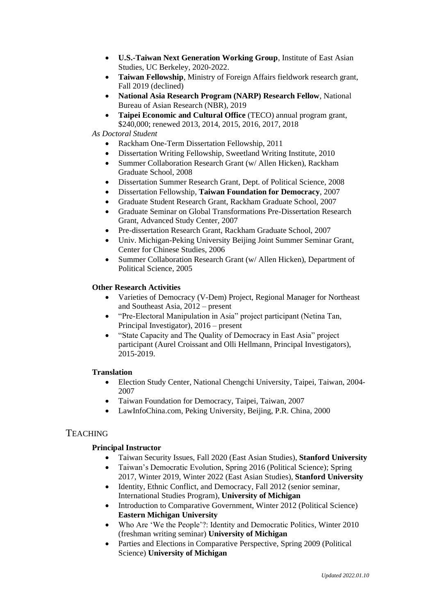- **U.S.-Taiwan Next Generation Working Group**, Institute of East Asian Studies, UC Berkeley, 2020-2022.
- **Taiwan Fellowship**, Ministry of Foreign Affairs fieldwork research grant, Fall 2019 (declined)
- **National Asia Research Program (NARP) Research Fellow**, National Bureau of Asian Research (NBR), 2019
- **Taipei Economic and Cultural Office** (TECO) annual program grant, \$240,000; renewed 2013, 2014, 2015, 2016, 2017, 2018

*As Doctoral Student*

- Rackham One-Term Dissertation Fellowship, 2011
- Dissertation Writing Fellowship, Sweetland Writing Institute, 2010
- Summer Collaboration Research Grant (w/ Allen Hicken), Rackham Graduate School, 2008
- Dissertation Summer Research Grant, Dept. of Political Science, 2008
- Dissertation Fellowship, **Taiwan Foundation for Democracy**, 2007
- Graduate Student Research Grant, Rackham Graduate School, 2007
- Graduate Seminar on Global Transformations Pre-Dissertation Research Grant, Advanced Study Center, 2007
- Pre-dissertation Research Grant, Rackham Graduate School, 2007
- Univ. Michigan-Peking University Beijing Joint Summer Seminar Grant, Center for Chinese Studies, 2006
- Summer Collaboration Research Grant (w/ Allen Hicken), Department of Political Science, 2005

## **Other Research Activities**

- Varieties of Democracy (V-Dem) Project, Regional Manager for Northeast and Southeast Asia, 2012 – present
- "Pre-Electoral Manipulation in Asia" project participant (Netina Tan, Principal Investigator), 2016 – present
- "State Capacity and The Quality of Democracy in East Asia" project participant (Aurel Croissant and Olli Hellmann, Principal Investigators), 2015-2019.

### **Translation**

- Election Study Center, National Chengchi University, Taipei, Taiwan, 2004- 2007
- Taiwan Foundation for Democracy, Taipei, Taiwan, 2007
- LawInfoChina.com, Peking University, Beijing, P.R. China, 2000

# **TEACHING**

### **Principal Instructor**

- Taiwan Security Issues, Fall 2020 (East Asian Studies), **Stanford University**
- Taiwan's Democratic Evolution, Spring 2016 (Political Science); Spring 2017, Winter 2019, Winter 2022 (East Asian Studies), **Stanford University**
- Identity, Ethnic Conflict, and Democracy, Fall 2012 (senior seminar, International Studies Program), **University of Michigan**
- Introduction to Comparative Government, Winter 2012 (Political Science) **Eastern Michigan University**
- Who Are 'We the People'?: Identity and Democratic Politics, Winter 2010 (freshman writing seminar) **University of Michigan**
- Parties and Elections in Comparative Perspective, Spring 2009 (Political Science) **University of Michigan**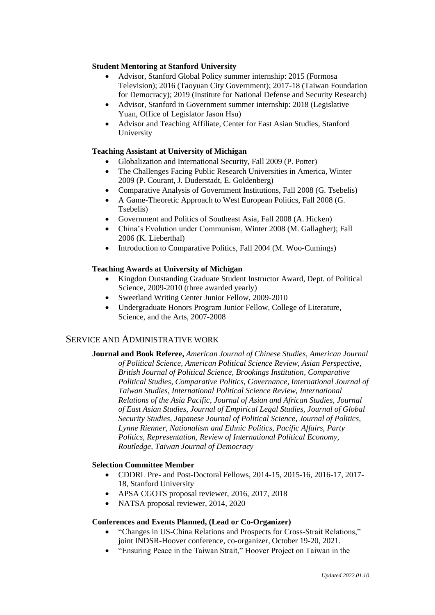## **Student Mentoring at Stanford University**

- Advisor, Stanford Global Policy summer internship: 2015 (Formosa Television); 2016 (Taoyuan City Government); 2017-18 (Taiwan Foundation for Democracy); 2019 (Institute for National Defense and Security Research)
- Advisor, Stanford in Government summer internship: 2018 (Legislative Yuan, Office of Legislator Jason Hsu)
- Advisor and Teaching Affiliate, Center for East Asian Studies, Stanford University

### **Teaching Assistant at University of Michigan**

- Globalization and International Security, Fall 2009 (P. Potter)
- The Challenges Facing Public Research Universities in America, Winter 2009 (P. Courant, J. Duderstadt, E. Goldenberg)
- Comparative Analysis of Government Institutions, Fall 2008 (G. Tsebelis)
- A Game-Theoretic Approach to West European Politics, Fall 2008 (G. Tsebelis)
- Government and Politics of Southeast Asia, Fall 2008 (A. Hicken)
- China's Evolution under Communism, Winter 2008 (M. Gallagher); Fall 2006 (K. Lieberthal)
- Introduction to Comparative Politics, Fall 2004 (M. Woo-Cumings)

## **Teaching Awards at University of Michigan**

- Kingdon Outstanding Graduate Student Instructor Award, Dept. of Political Science, 2009-2010 (three awarded yearly)
- Sweetland Writing Center Junior Fellow, 2009-2010
- Undergraduate Honors Program Junior Fellow, College of Literature, Science, and the Arts, 2007-2008

# SERVICE AND ADMINISTRATIVE WORK

**Journal and Book Referee,** *American Journal of Chinese Studies, American Journal of Political Science, American Political Science Review, Asian Perspective, British Journal of Political Science, Brookings Institution, Comparative Political Studies, Comparative Politics, Governance, International Journal of Taiwan Studies, International Political Science Review, International Relations of the Asia Pacific, Journal of Asian and African Studies, Journal of East Asian Studies, Journal of Empirical Legal Studies, Journal of Global Security Studies, Japanese Journal of Political Science, Journal of Politics, Lynne Rienner, Nationalism and Ethnic Politics, Pacific Affairs, Party Politics, Representation, Review of International Political Economy, Routledge, Taiwan Journal of Democracy*

### **Selection Committee Member**

- CDDRL Pre- and Post-Doctoral Fellows, 2014-15, 2015-16, 2016-17, 2017- 18, Stanford University
- APSA CGOTS proposal reviewer, 2016, 2017, 2018
- NATSA proposal reviewer, 2014, 2020

### **Conferences and Events Planned, (Lead or Co-Organizer)**

- "Changes in US-China Relations and Prospects for Cross-Strait Relations," joint INDSR-Hoover conference, co-organizer, October 19-20, 2021.
- "Ensuring Peace in the Taiwan Strait," Hoover Project on Taiwan in the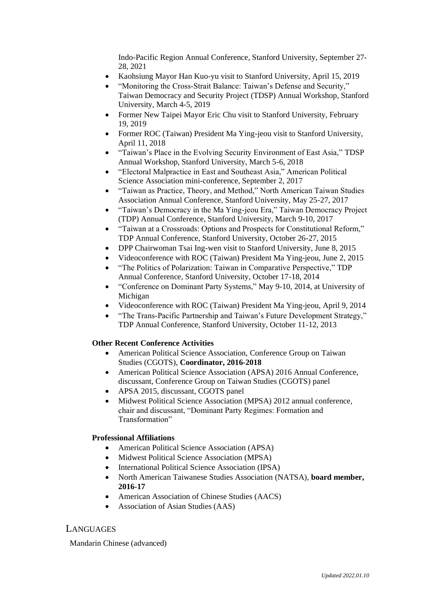Indo-Pacific Region Annual Conference, Stanford University, September 27- 28, 2021

- Kaohsiung Mayor Han Kuo-yu visit to Stanford University, April 15, 2019
- "Monitoring the Cross-Strait Balance: Taiwan's Defense and Security," Taiwan Democracy and Security Project (TDSP) Annual Workshop, Stanford University, March 4-5, 2019
- Former New Taipei Mayor Eric Chu visit to Stanford University, February 19, 2019
- Former ROC (Taiwan) President Ma Ying-jeou visit to Stanford University, April 11, 2018
- "Taiwan's Place in the Evolving Security Environment of East Asia," TDSP Annual Workshop, Stanford University, March 5-6, 2018
- "Electoral Malpractice in East and Southeast Asia," American Political Science Association mini-conference, September 2, 2017
- "Taiwan as Practice, Theory, and Method," North American Taiwan Studies Association Annual Conference, Stanford University, May 25-27, 2017
- "Taiwan's Democracy in the Ma Ying-jeou Era," Taiwan Democracy Project (TDP) Annual Conference, Stanford University, March 9-10, 2017
- "Taiwan at a Crossroads: Options and Prospects for Constitutional Reform," TDP Annual Conference, Stanford University, October 26-27, 2015
- DPP Chairwoman Tsai Ing-wen visit to Stanford University, June 8, 2015
- Videoconference with ROC (Taiwan) President Ma Ying-jeou, June 2, 2015
- "The Politics of Polarization: Taiwan in Comparative Perspective," TDP Annual Conference, Stanford University, October 17-18, 2014
- "Conference on Dominant Party Systems," May 9-10, 2014, at University of Michigan
- Videoconference with ROC (Taiwan) President Ma Ying-jeou, April 9, 2014
- "The Trans-Pacific Partnership and Taiwan's Future Development Strategy," TDP Annual Conference, Stanford University, October 11-12, 2013

### **Other Recent Conference Activities**

- American Political Science Association, Conference Group on Taiwan Studies (CGOTS), **Coordinator, 2016-2018**
- American Political Science Association (APSA) 2016 Annual Conference, discussant, Conference Group on Taiwan Studies (CGOTS) panel
- APSA 2015, discussant, CGOTS panel
- Midwest Political Science Association (MPSA) 2012 annual conference, chair and discussant, "Dominant Party Regimes: Formation and Transformation"

## **Professional Affiliations**

- American Political Science Association (APSA)
- Midwest Political Science Association (MPSA)
- International Political Science Association (IPSA)
- North American Taiwanese Studies Association (NATSA), **board member, 2016-17**
- American Association of Chinese Studies (AACS)
- Association of Asian Studies (AAS)

# LANGUAGES

Mandarin Chinese (advanced)